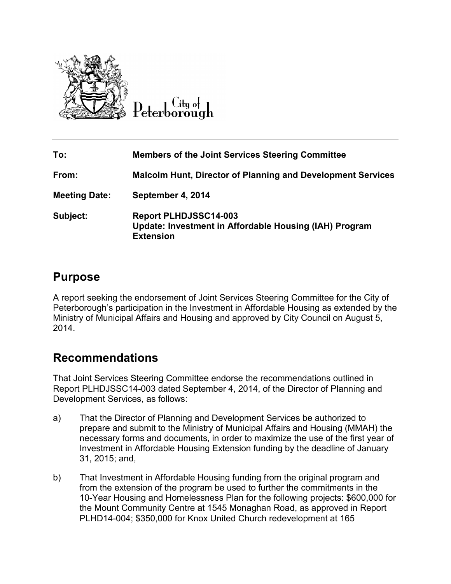

City of Peterborough

| To:                  | <b>Members of the Joint Services Steering Committee</b>                                                    |
|----------------------|------------------------------------------------------------------------------------------------------------|
| From:                | <b>Malcolm Hunt, Director of Planning and Development Services</b>                                         |
| <b>Meeting Date:</b> | September 4, 2014                                                                                          |
| Subject:             | <b>Report PLHDJSSC14-003</b><br>Update: Investment in Affordable Housing (IAH) Program<br><b>Extension</b> |

## **Purpose**

A report seeking the endorsement of Joint Services Steering Committee for the City of Peterborough's participation in the Investment in Affordable Housing as extended by the Ministry of Municipal Affairs and Housing and approved by City Council on August 5, 2014.

# **Recommendations**

That Joint Services Steering Committee endorse the recommendations outlined in Report PLHDJSSC14-003 dated September 4, 2014, of the Director of Planning and Development Services, as follows:

- a) That the Director of Planning and Development Services be authorized to prepare and submit to the Ministry of Municipal Affairs and Housing (MMAH) the necessary forms and documents, in order to maximize the use of the first year of Investment in Affordable Housing Extension funding by the deadline of January 31, 2015; and,
- b) That Investment in Affordable Housing funding from the original program and from the extension of the program be used to further the commitments in the 10-Year Housing and Homelessness Plan for the following projects: \$600,000 for the Mount Community Centre at 1545 Monaghan Road, as approved in Report PLHD14-004; \$350,000 for Knox United Church redevelopment at 165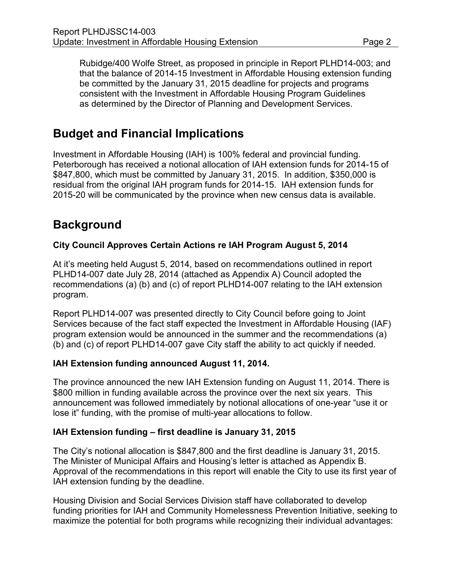Rubidge/400 Wolfe Street, as proposed in principle in Report PLHD14-003; and that the balance of 2014-15 Investment in Affordable Housing extension funding be committed by the January 31, 2015 deadline for projects and programs consistent with the Investment in Affordable Housing Program Guidelines as determined by the Director of Planning and Development Services.

# **Budget and Financial Implications**

Investment in Affordable Housing (IAH) is 100% federal and provincial funding. Peterborough has received a notional allocation of IAH extension funds for 2014-15 of \$847,800, which must be committed by January 31, 2015. In addition, \$350,000 is residual from the original IAH program funds for 2014-15. IAH extension funds for 2015-20 will be communicated by the province when new census data is available.

# **Background**

## **City Council Approves Certain Actions re IAH Program August 5, 2014**

At it's meeting held August 5, 2014, based on recommendations outlined in report PLHD14-007 date July 28, 2014 (attached as Appendix A) Council adopted the recommendations (a) (b) and (c) of report PLHD14-007 relating to the IAH extension program.

Report PLHD14-007 was presented directly to City Council before going to Joint Services because of the fact staff expected the Investment in Affordable Housing (IAF) program extension would be announced in the summer and the recommendations (a) (b) and (c) of report PLHD14-007 gave City staff the ability to act quickly if needed.

### **IAH Extension funding announced August 11, 2014.**

The province announced the new IAH Extension funding on August 11, 2014. There is \$800 million in funding available across the province over the next six years. This announcement was followed immediately by notional allocations of one-year "use it or lose it" funding, with the promise of multi-year allocations to follow.

### **IAH Extension funding – first deadline is January 31, 2015**

The City's notional allocation is \$847,800 and the first deadline is January 31, 2015. The Minister of Municipal Affairs and Housing's letter is attached as Appendix B. Approval of the recommendations in this report will enable the City to use its first year of IAH extension funding by the deadline.

Housing Division and Social Services Division staff have collaborated to develop funding priorities for IAH and Community Homelessness Prevention Initiative, seeking to maximize the potential for both programs while recognizing their individual advantages: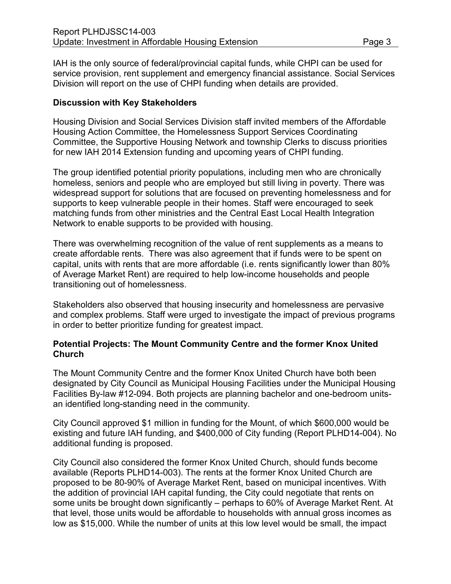IAH is the only source of federal/provincial capital funds, while CHPI can be used for service provision, rent supplement and emergency financial assistance. Social Services Division will report on the use of CHPI funding when details are provided.

#### **Discussion with Key Stakeholders**

Housing Division and Social Services Division staff invited members of the Affordable Housing Action Committee, the Homelessness Support Services Coordinating Committee, the Supportive Housing Network and township Clerks to discuss priorities for new IAH 2014 Extension funding and upcoming years of CHPI funding.

The group identified potential priority populations, including men who are chronically homeless, seniors and people who are employed but still living in poverty. There was widespread support for solutions that are focused on preventing homelessness and for supports to keep vulnerable people in their homes. Staff were encouraged to seek matching funds from other ministries and the Central East Local Health Integration Network to enable supports to be provided with housing.

There was overwhelming recognition of the value of rent supplements as a means to create affordable rents. There was also agreement that if funds were to be spent on capital, units with rents that are more affordable (i.e. rents significantly lower than 80% of Average Market Rent) are required to help low-income households and people transitioning out of homelessness.

Stakeholders also observed that housing insecurity and homelessness are pervasive and complex problems. Staff were urged to investigate the impact of previous programs in order to better prioritize funding for greatest impact.

#### **Potential Projects: The Mount Community Centre and the former Knox United Church**

The Mount Community Centre and the former Knox United Church have both been designated by City Council as Municipal Housing Facilities under the Municipal Housing Facilities By-law #12-094. Both projects are planning bachelor and one-bedroom unitsan identified long-standing need in the community.

City Council approved \$1 million in funding for the Mount, of which \$600,000 would be existing and future IAH funding, and \$400,000 of City funding (Report PLHD14-004). No additional funding is proposed.

City Council also considered the former Knox United Church, should funds become available (Reports PLHD14-003). The rents at the former Knox United Church are proposed to be 80-90% of Average Market Rent, based on municipal incentives. With the addition of provincial IAH capital funding, the City could negotiate that rents on some units be brought down significantly – perhaps to 60% of Average Market Rent. At that level, those units would be affordable to households with annual gross incomes as low as \$15,000. While the number of units at this low level would be small, the impact